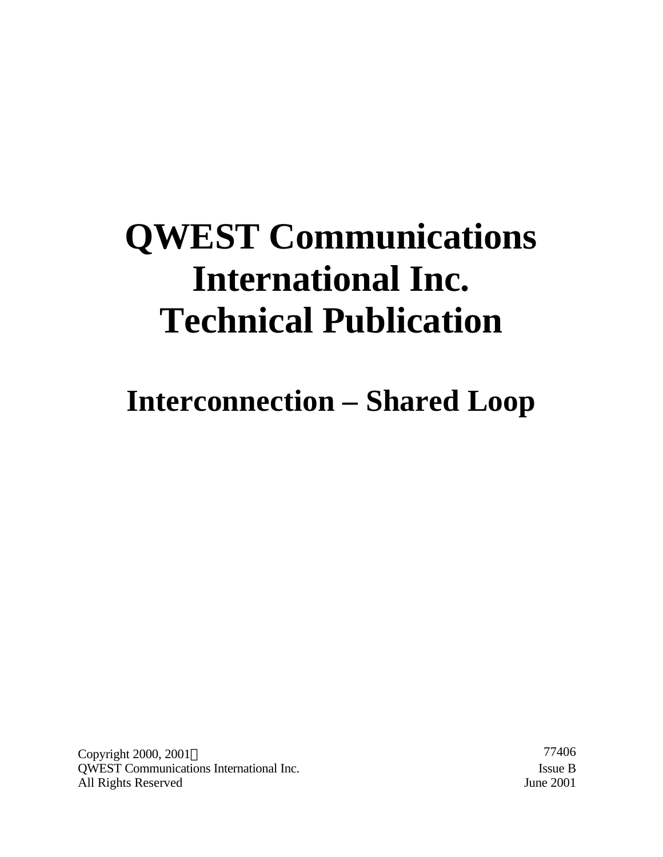# **QWEST Communications International Inc. Technical Publication**

**Interconnection – Shared Loop**

Copyright 2000, 2001© 77406 QWEST Communications International Inc. Issue B All Rights Reserved June 2001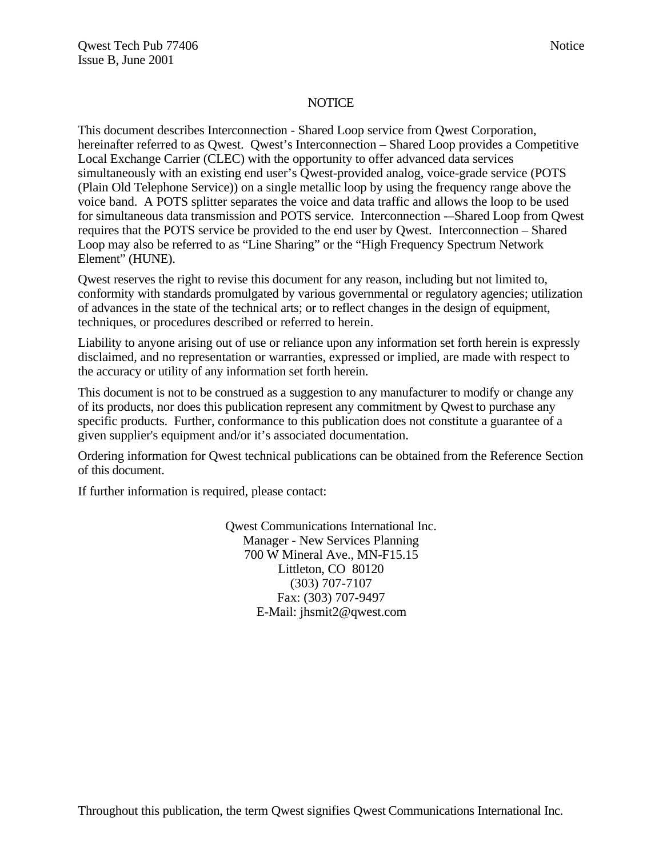#### **NOTICE**

This document describes Interconnection - Shared Loop service from Qwest Corporation, hereinafter referred to as Qwest. Qwest's Interconnection – Shared Loop provides a Competitive Local Exchange Carrier (CLEC) with the opportunity to offer advanced data services simultaneously with an existing end user's Qwest-provided analog, voice-grade service (POTS (Plain Old Telephone Service)) on a single metallic loop by using the frequency range above the voice band. A POTS splitter separates the voice and data traffic and allows the loop to be used for simultaneous data transmission and POTS service. Interconnection -–Shared Loop from Qwest requires that the POTS service be provided to the end user by Qwest. Interconnection – Shared Loop may also be referred to as "Line Sharing" or the "High Frequency Spectrum Network Element" (HUNE).

Qwest reserves the right to revise this document for any reason, including but not limited to, conformity with standards promulgated by various governmental or regulatory agencies; utilization of advances in the state of the technical arts; or to reflect changes in the design of equipment, techniques, or procedures described or referred to herein.

Liability to anyone arising out of use or reliance upon any information set forth herein is expressly disclaimed, and no representation or warranties, expressed or implied, are made with respect to the accuracy or utility of any information set forth herein.

This document is not to be construed as a suggestion to any manufacturer to modify or change any of its products, nor does this publication represent any commitment by Qwest to purchase any specific products. Further, conformance to this publication does not constitute a guarantee of a given supplier's equipment and/or it's associated documentation.

Ordering information for Qwest technical publications can be obtained from the Reference Section of this document.

If further information is required, please contact:

Qwest Communications International Inc. Manager - New Services Planning 700 W Mineral Ave., MN-F15.15 Littleton, CO 80120 (303) 707-7107 Fax: (303) 707-9497 E-Mail: jhsmit2@qwest.com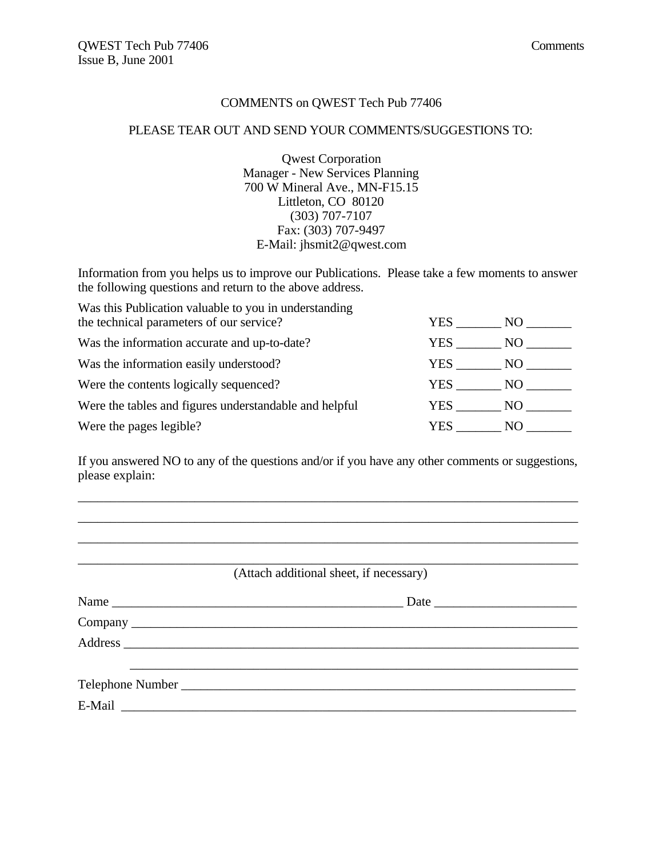#### COMMENTS on QWEST Tech Pub 77406

#### PLEASE TEAR OUT AND SEND YOUR COMMENTS/SUGGESTIONS TO:

Qwest Corporation Manager - New Services Planning 700 W Mineral Ave., MN-F15.15 Littleton, CO 80120 (303) 707-7107 Fax: (303) 707-9497 E-Mail: jhsmit2@qwest.com

Information from you helps us to improve our Publications. Please take a few moments to answer the following questions and return to the above address.

| Was this Publication valuable to you in understanding<br>the technical parameters of our service? | YES.  | NO. |
|---------------------------------------------------------------------------------------------------|-------|-----|
|                                                                                                   |       |     |
| Was the information accurate and up-to-date?                                                      | YES.  | NO. |
| Was the information easily understood?                                                            | YES.  | NO. |
| Were the contents logically sequenced?                                                            | YES . | NO. |
| Were the tables and figures understandable and helpful                                            | YES . | NO. |
| Were the pages legible?                                                                           | YES   | N() |

If you answered NO to any of the questions and/or if you have any other comments or suggestions, please explain:

\_\_\_\_\_\_\_\_\_\_\_\_\_\_\_\_\_\_\_\_\_\_\_\_\_\_\_\_\_\_\_\_\_\_\_\_\_\_\_\_\_\_\_\_\_\_\_\_\_\_\_\_\_\_\_\_\_\_\_\_\_\_\_\_\_\_\_\_\_\_\_\_\_\_\_\_\_ \_\_\_\_\_\_\_\_\_\_\_\_\_\_\_\_\_\_\_\_\_\_\_\_\_\_\_\_\_\_\_\_\_\_\_\_\_\_\_\_\_\_\_\_\_\_\_\_\_\_\_\_\_\_\_\_\_\_\_\_\_\_\_\_\_\_\_\_\_\_\_\_\_\_\_\_\_ \_\_\_\_\_\_\_\_\_\_\_\_\_\_\_\_\_\_\_\_\_\_\_\_\_\_\_\_\_\_\_\_\_\_\_\_\_\_\_\_\_\_\_\_\_\_\_\_\_\_\_\_\_\_\_\_\_\_\_\_\_\_\_\_\_\_\_\_\_\_\_\_\_\_\_\_\_

\_\_\_\_\_\_\_\_\_\_\_\_\_\_\_\_\_\_\_\_\_\_\_\_\_\_\_\_\_\_\_\_\_\_\_\_\_\_\_\_\_\_\_\_\_\_\_\_\_\_\_\_\_\_\_\_\_\_\_\_\_\_\_\_\_\_\_\_\_\_\_\_\_\_\_\_\_ (Attach additional sheet, if necessary)

| Name | Date |
|------|------|
|      |      |
|      |      |
|      |      |
|      |      |
|      |      |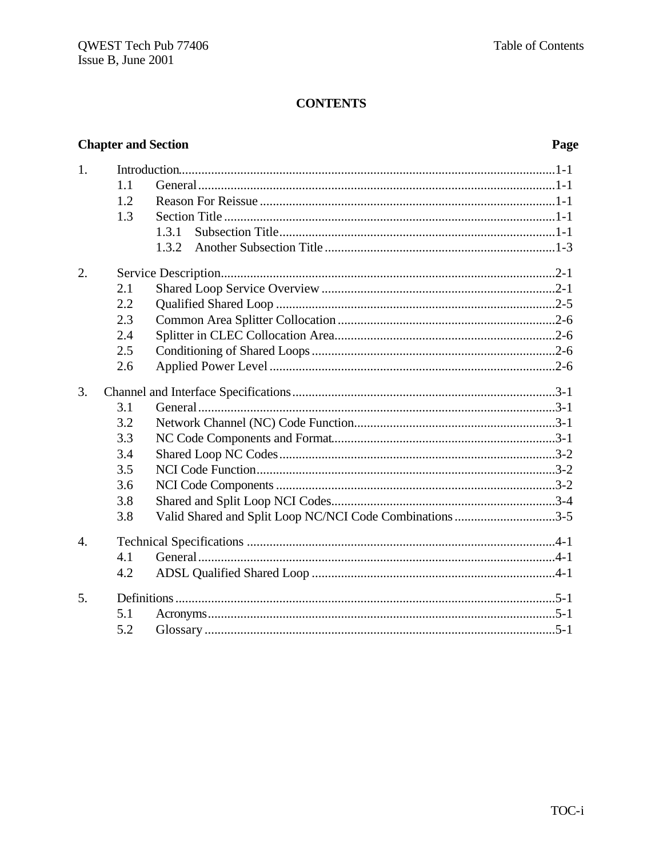# **Chapter and Section**

# Page

| 1.               |     |                                                          |
|------------------|-----|----------------------------------------------------------|
|                  | 1.1 |                                                          |
|                  | 1.2 |                                                          |
|                  | 1.3 |                                                          |
|                  |     | 1.3.1                                                    |
|                  |     | 1.3.2                                                    |
| 2.               |     |                                                          |
|                  | 2.1 |                                                          |
|                  | 2.2 |                                                          |
|                  | 2.3 |                                                          |
|                  | 2.4 |                                                          |
|                  | 2.5 |                                                          |
|                  | 2.6 |                                                          |
| 3.               |     |                                                          |
|                  | 3.1 |                                                          |
|                  | 3.2 |                                                          |
|                  | 3.3 |                                                          |
|                  | 3.4 |                                                          |
|                  | 3.5 |                                                          |
|                  | 3.6 |                                                          |
|                  | 3.8 |                                                          |
|                  | 3.8 | Valid Shared and Split Loop NC/NCI Code Combinations 3-5 |
| $\overline{4}$ . |     |                                                          |
|                  | 4.1 |                                                          |
|                  | 4.2 |                                                          |
| 5.               |     |                                                          |
|                  | 5.1 |                                                          |
|                  | 5.2 |                                                          |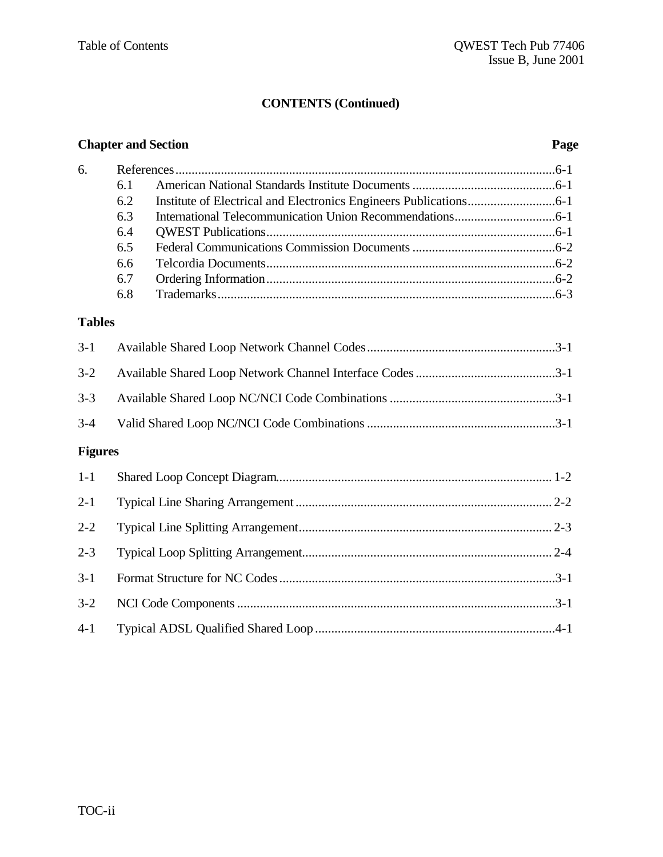### **CONTENTS (Continued)**

# **Chapter and Section Page** 6. References.....................................................................................................................6-1 6.1 American National Standards Institute Documents............................................6-1 6.2 Institute of Electrical and Electronics Engineers Publications...........................6-1 6.3 International Telecommunication Union Recommendations...............................6-1 6.4 QWEST Publications.........................................................................................6-1 6.5 Federal Communications Commission Documents............................................6-2 6.6 Telcordia Documents.........................................................................................6-2 6.7 Ordering Information.........................................................................................6-2 6.8 Trademarks........................................................................................................6-3 **Tables** 3-1 Available Shared Loop Network Channel Codes..........................................................3-1 3-2 Available Shared Loop Network Channel Interface Codes...........................................3-1 3-3 Available Shared Loop NC/NCI Code Combinations...................................................3-1 3-4 Valid Shared Loop NC/NCI Code Combinations..........................................................3-1 **Figures** 1-1 Shared Loop Concept Diagram..................................................................................... 1-2 2-1 Typical Line Sharing Arrangement............................................................................... 2-2 2-2 Typical Line Splitting Arrangement.............................................................................. 2-3 2-3 Typical Loop Splitting Arrangement............................................................................. 2-4 3-1 Format Structure for NC Codes.....................................................................................3-1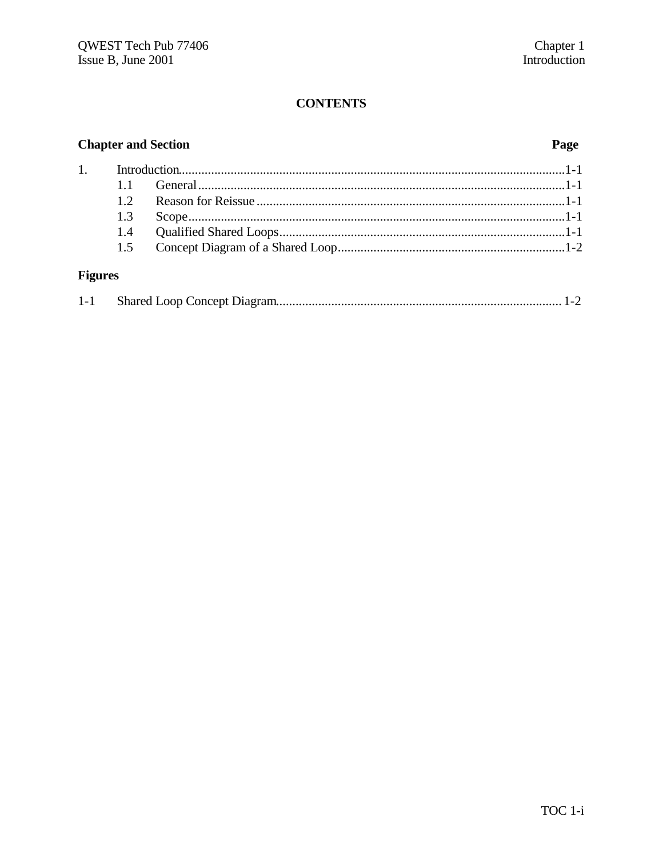# **Chapter and Section**

# Page

# **Figures**

|--|--|--|--|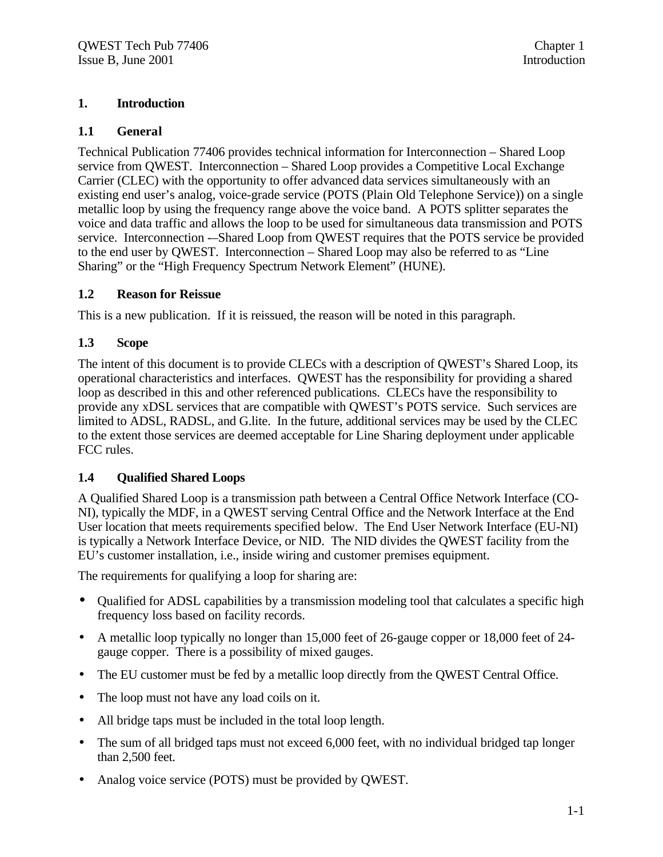#### **1. Introduction**

#### **1.1 General**

Technical Publication 77406 provides technical information for Interconnection – Shared Loop service from QWEST. Interconnection – Shared Loop provides a Competitive Local Exchange Carrier (CLEC) with the opportunity to offer advanced data services simultaneously with an existing end user's analog, voice-grade service (POTS (Plain Old Telephone Service)) on a single metallic loop by using the frequency range above the voice band. A POTS splitter separates the voice and data traffic and allows the loop to be used for simultaneous data transmission and POTS service. Interconnection -–Shared Loop from QWEST requires that the POTS service be provided to the end user by QWEST. Interconnection – Shared Loop may also be referred to as "Line Sharing" or the "High Frequency Spectrum Network Element" (HUNE).

#### **1.2 Reason for Reissue**

This is a new publication. If it is reissued, the reason will be noted in this paragraph.

### **1.3 Scope**

The intent of this document is to provide CLECs with a description of QWEST's Shared Loop, its operational characteristics and interfaces. QWEST has the responsibility for providing a shared loop as described in this and other referenced publications. CLECs have the responsibility to provide any xDSL services that are compatible with QWEST's POTS service. Such services are limited to ADSL, RADSL, and G.lite. In the future, additional services may be used by the CLEC to the extent those services are deemed acceptable for Line Sharing deployment under applicable FCC rules.

#### **1.4 Qualified Shared Loops**

A Qualified Shared Loop is a transmission path between a Central Office Network Interface (CO-NI), typically the MDF, in a QWEST serving Central Office and the Network Interface at the End User location that meets requirements specified below. The End User Network Interface (EU-NI) is typically a Network Interface Device, or NID. The NID divides the QWEST facility from the EU's customer installation, i.e., inside wiring and customer premises equipment.

The requirements for qualifying a loop for sharing are:

- Qualified for ADSL capabilities by a transmission modeling tool that calculates a specific high frequency loss based on facility records.
- A metallic loop typically no longer than 15,000 feet of 26-gauge copper or 18,000 feet of 24gauge copper. There is a possibility of mixed gauges.
- The EU customer must be fed by a metallic loop directly from the QWEST Central Office.
- The loop must not have any load coils on it.
- All bridge taps must be included in the total loop length.
- The sum of all bridged taps must not exceed 6,000 feet, with no individual bridged tap longer than 2,500 feet.
- Analog voice service (POTS) must be provided by QWEST.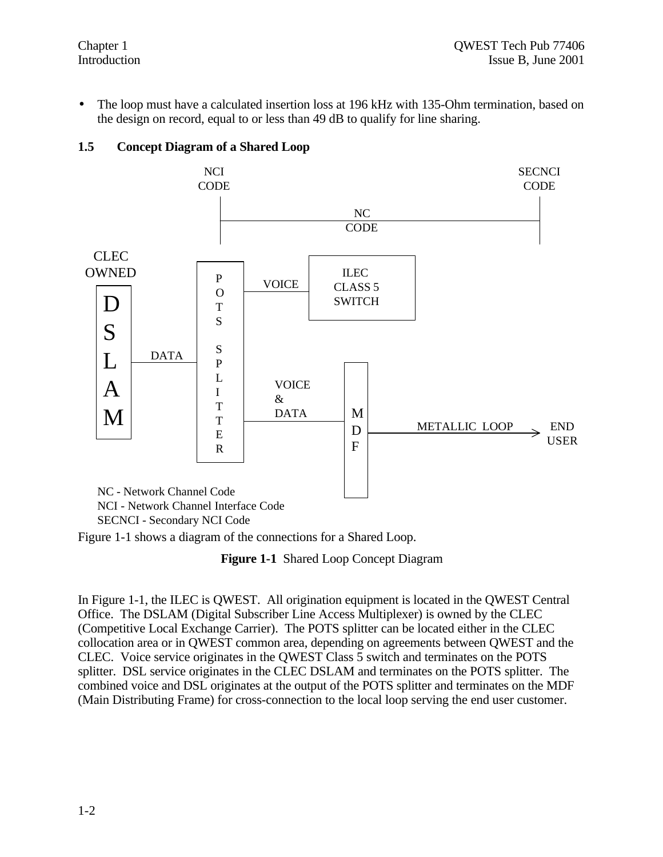• The loop must have a calculated insertion loss at 196 kHz with 135-Ohm termination, based on the design on record, equal to or less than 49 dB to qualify for line sharing.





Figure 1-1 shows a diagram of the connections for a Shared Loop.

**Figure 1-1** Shared Loop Concept Diagram

In Figure 1-1, the ILEC is QWEST. All origination equipment is located in the QWEST Central Office. The DSLAM (Digital Subscriber Line Access Multiplexer) is owned by the CLEC (Competitive Local Exchange Carrier). The POTS splitter can be located either in the CLEC collocation area or in QWEST common area, depending on agreements between QWEST and the CLEC. Voice service originates in the QWEST Class 5 switch and terminates on the POTS splitter. DSL service originates in the CLEC DSLAM and terminates on the POTS splitter. The combined voice and DSL originates at the output of the POTS splitter and terminates on the MDF (Main Distributing Frame) for cross-connection to the local loop serving the end user customer.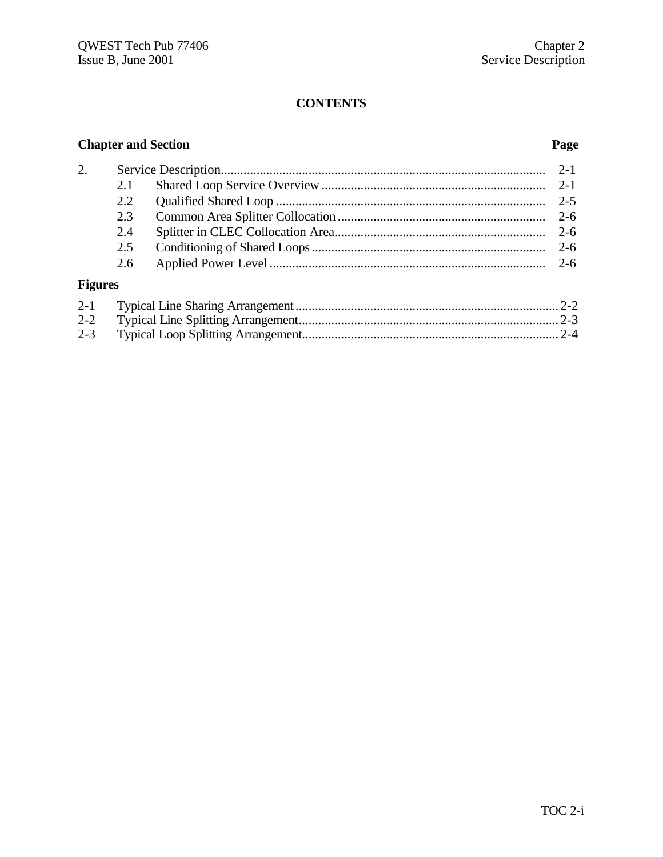# **Chapter and Section Page**

| 2. |     |         |
|----|-----|---------|
|    | 2.1 |         |
|    |     | $2 - 5$ |
|    |     |         |
|    | 2.4 |         |
|    | 2.5 |         |
|    |     |         |
|    |     |         |

# **Figures**

| $2 - 3$ |  |
|---------|--|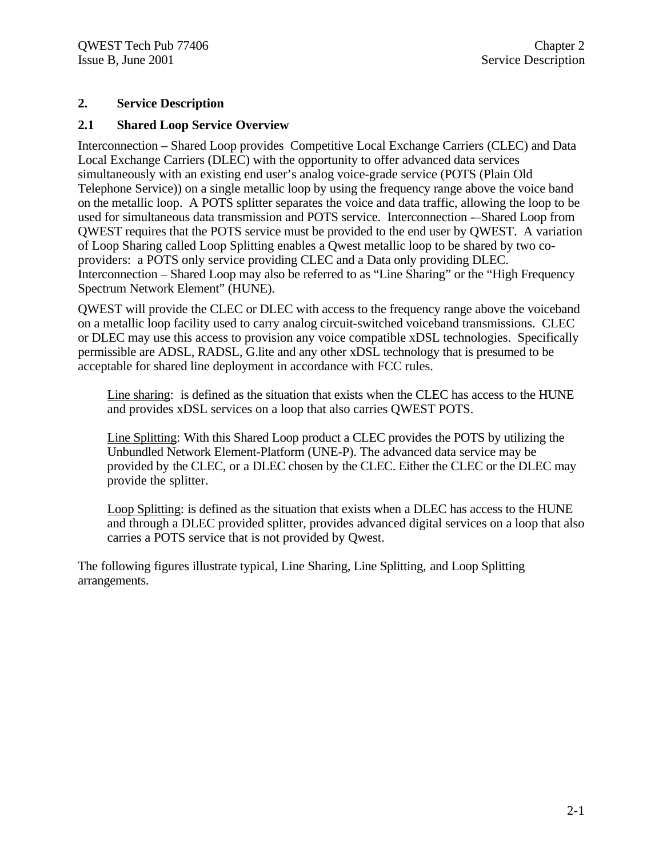#### **2. Service Description**

#### **2.1 Shared Loop Service Overview**

Interconnection – Shared Loop provides Competitive Local Exchange Carriers (CLEC) and Data Local Exchange Carriers (DLEC) with the opportunity to offer advanced data services simultaneously with an existing end user's analog voice-grade service (POTS (Plain Old Telephone Service)) on a single metallic loop by using the frequency range above the voice band on the metallic loop. A POTS splitter separates the voice and data traffic, allowing the loop to be used for simultaneous data transmission and POTS service. Interconnection -–Shared Loop from QWEST requires that the POTS service must be provided to the end user by QWEST. A variation of Loop Sharing called Loop Splitting enables a Qwest metallic loop to be shared by two coproviders: a POTS only service providing CLEC and a Data only providing DLEC. Interconnection – Shared Loop may also be referred to as "Line Sharing" or the "High Frequency Spectrum Network Element" (HUNE).

QWEST will provide the CLEC or DLEC with access to the frequency range above the voiceband on a metallic loop facility used to carry analog circuit-switched voiceband transmissions. CLEC or DLEC may use this access to provision any voice compatible xDSL technologies. Specifically permissible are ADSL, RADSL, G.lite and any other xDSL technology that is presumed to be acceptable for shared line deployment in accordance with FCC rules.

Line sharing: is defined as the situation that exists when the CLEC has access to the HUNE and provides xDSL services on a loop that also carries QWEST POTS.

Line Splitting: With this Shared Loop product a CLEC provides the POTS by utilizing the Unbundled Network Element-Platform (UNE-P). The advanced data service may be provided by the CLEC, or a DLEC chosen by the CLEC. Either the CLEC or the DLEC may provide the splitter.

Loop Splitting: is defined as the situation that exists when a DLEC has access to the HUNE and through a DLEC provided splitter, provides advanced digital services on a loop that also carries a POTS service that is not provided by Qwest.

The following figures illustrate typical, Line Sharing, Line Splitting, and Loop Splitting arrangements.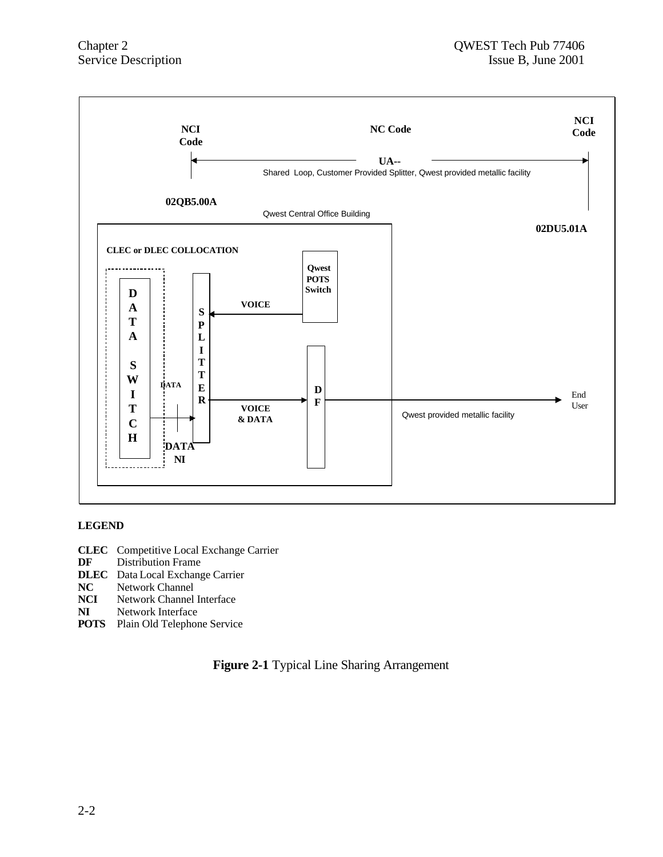

#### **LEGEND**

- **CLEC** Competitive Local Exchange Carrier
- **DF** Distribution Frame
- **DLEC** Data Local Exchange Carrier<br>**NC** Network Channel
- **NC** Network Channel<br>**NCI** Network Channel
- **Network Channel Interface**
- **NI** Network Interface
- **POTS** Plain Old Telephone Service

**Figure 2-1** Typical Line Sharing Arrangement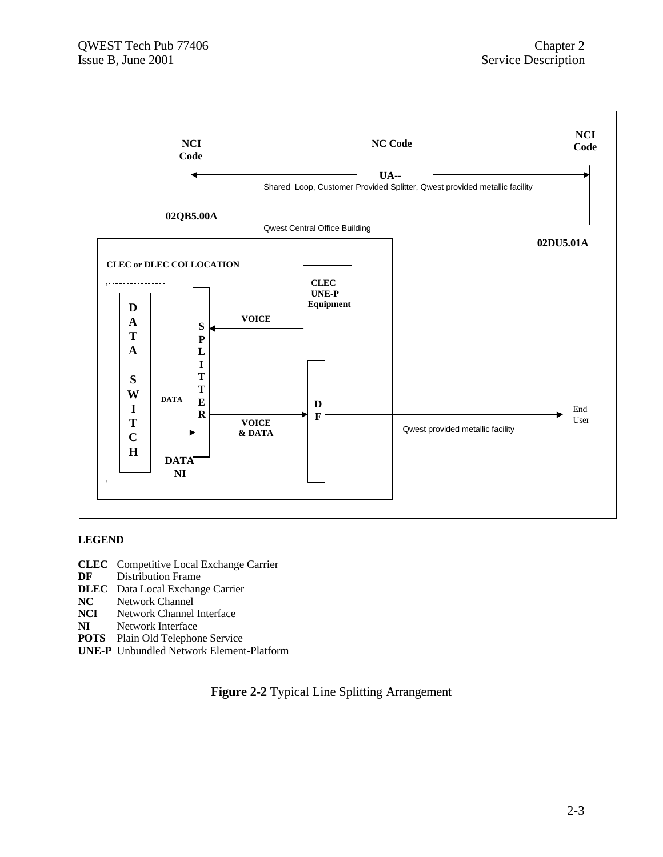

#### **LEGEND**

- **CLEC** Competitive Local Exchange Carrier
- **DF** Distribution Frame
- **DLEC** Data Local Exchange Carrier<br>**NC** Network Channel
- **Network Channel**
- **NCI** Network Channel Interface
- **NI** Network Interface
- **POTS** Plain Old Telephone Service
- **UNE-P** Unbundled Network Element-Platform

**Figure 2-2** Typical Line Splitting Arrangement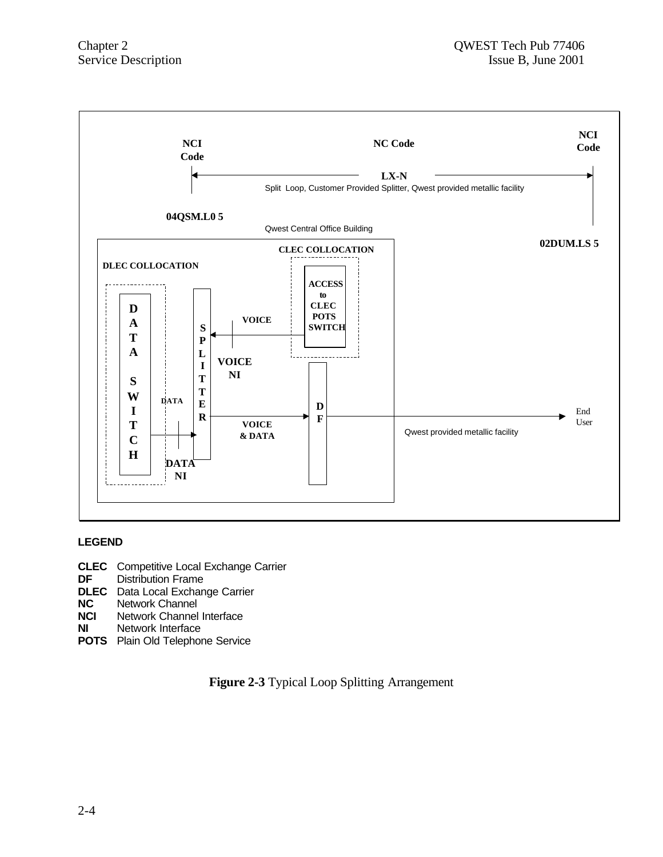

#### **LEGEND**

- **CLEC** Competitive Local Exchange Carrier<br>**DF** Distribution Frame
- **Distribution Frame**
- **DLEC** Data Local Exchange Carrier<br>**NC** Network Channel
- **NC** Network Channel<br>**NCI** Network Channel
- **Network Channel Interface**
- **NI** Network Interface
- **POTS** Plain Old Telephone Service

**Figure 2-3** Typical Loop Splitting Arrangement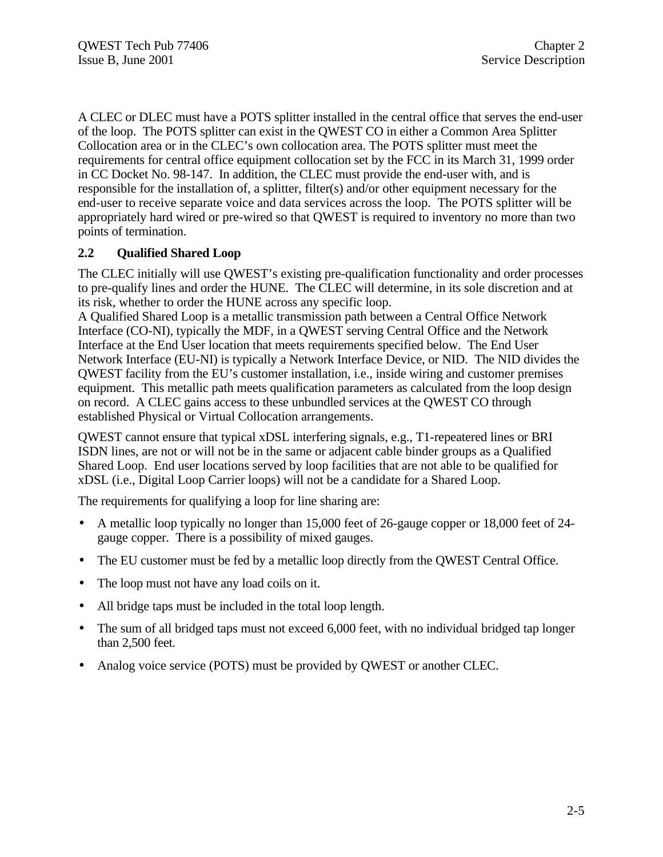A CLEC or DLEC must have a POTS splitter installed in the central office that serves the end-user of the loop. The POTS splitter can exist in the QWEST CO in either a Common Area Splitter Collocation area or in the CLEC's own collocation area. The POTS splitter must meet the requirements for central office equipment collocation set by the FCC in its March 31, 1999 order in CC Docket No. 98-147. In addition, the CLEC must provide the end-user with, and is responsible for the installation of, a splitter, filter(s) and/or other equipment necessary for the end-user to receive separate voice and data services across the loop. The POTS splitter will be appropriately hard wired or pre-wired so that QWEST is required to inventory no more than two points of termination.

# **2.2 Qualified Shared Loop**

The CLEC initially will use QWEST's existing pre-qualification functionality and order processes to pre-qualify lines and order the HUNE. The CLEC will determine, in its sole discretion and at its risk, whether to order the HUNE across any specific loop.

A Qualified Shared Loop is a metallic transmission path between a Central Office Network Interface (CO-NI), typically the MDF, in a QWEST serving Central Office and the Network Interface at the End User location that meets requirements specified below. The End User Network Interface (EU-NI) is typically a Network Interface Device, or NID. The NID divides the QWEST facility from the EU's customer installation, i.e., inside wiring and customer premises equipment. This metallic path meets qualification parameters as calculated from the loop design on record. A CLEC gains access to these unbundled services at the QWEST CO through established Physical or Virtual Collocation arrangements.

QWEST cannot ensure that typical xDSL interfering signals, e.g., T1-repeatered lines or BRI ISDN lines, are not or will not be in the same or adjacent cable binder groups as a Qualified Shared Loop. End user locations served by loop facilities that are not able to be qualified for xDSL (i.e., Digital Loop Carrier loops) will not be a candidate for a Shared Loop.

The requirements for qualifying a loop for line sharing are:

- A metallic loop typically no longer than 15,000 feet of 26-gauge copper or 18,000 feet of 24 gauge copper. There is a possibility of mixed gauges.
- The EU customer must be fed by a metallic loop directly from the QWEST Central Office.
- The loop must not have any load coils on it.
- All bridge taps must be included in the total loop length.
- The sum of all bridged taps must not exceed 6,000 feet, with no individual bridged tap longer than 2,500 feet.
- Analog voice service (POTS) must be provided by QWEST or another CLEC.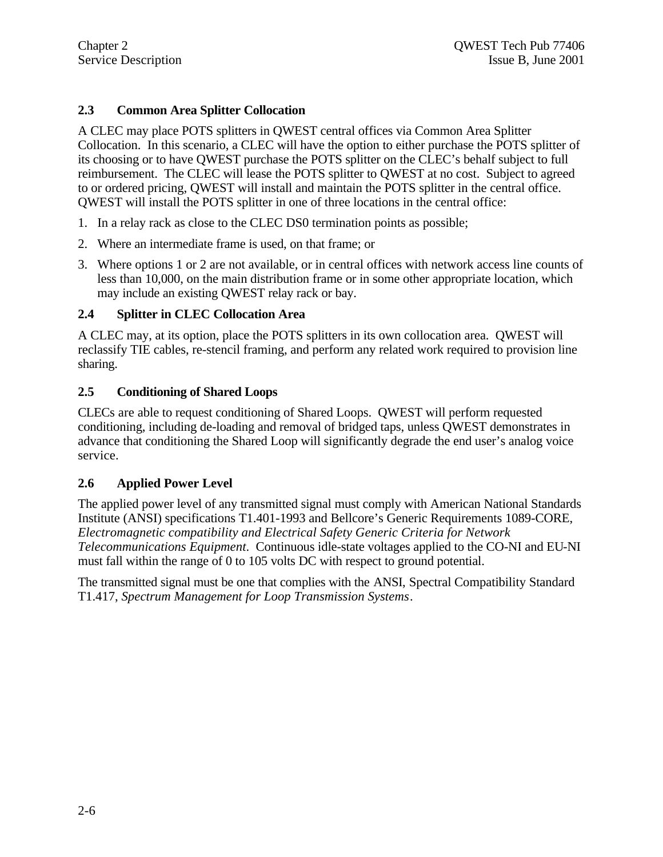### **2.3 Common Area Splitter Collocation**

A CLEC may place POTS splitters in QWEST central offices via Common Area Splitter Collocation. In this scenario, a CLEC will have the option to either purchase the POTS splitter of its choosing or to have QWEST purchase the POTS splitter on the CLEC's behalf subject to full reimbursement. The CLEC will lease the POTS splitter to QWEST at no cost. Subject to agreed to or ordered pricing, QWEST will install and maintain the POTS splitter in the central office. QWEST will install the POTS splitter in one of three locations in the central office:

- 1. In a relay rack as close to the CLEC DS0 termination points as possible;
- 2. Where an intermediate frame is used, on that frame; or
- 3. Where options 1 or 2 are not available, or in central offices with network access line counts of less than 10,000, on the main distribution frame or in some other appropriate location, which may include an existing QWEST relay rack or bay.

### **2.4 Splitter in CLEC Collocation Area**

A CLEC may, at its option, place the POTS splitters in its own collocation area. QWEST will reclassify TIE cables, re-stencil framing, and perform any related work required to provision line sharing.

#### **2.5 Conditioning of Shared Loops**

CLECs are able to request conditioning of Shared Loops. QWEST will perform requested conditioning, including de-loading and removal of bridged taps, unless QWEST demonstrates in advance that conditioning the Shared Loop will significantly degrade the end user's analog voice service.

#### **2.6 Applied Power Level**

The applied power level of any transmitted signal must comply with American National Standards Institute (ANSI) specifications T1.401-1993 and Bellcore's Generic Requirements 1089-CORE, *Electromagnetic compatibility and Electrical Safety Generic Criteria for Network Telecommunications Equipment*. Continuous idle-state voltages applied to the CO-NI and EU-NI must fall within the range of 0 to 105 volts DC with respect to ground potential.

The transmitted signal must be one that complies with the ANSI, Spectral Compatibility Standard T1.417, *Spectrum Management for Loop Transmission Systems*.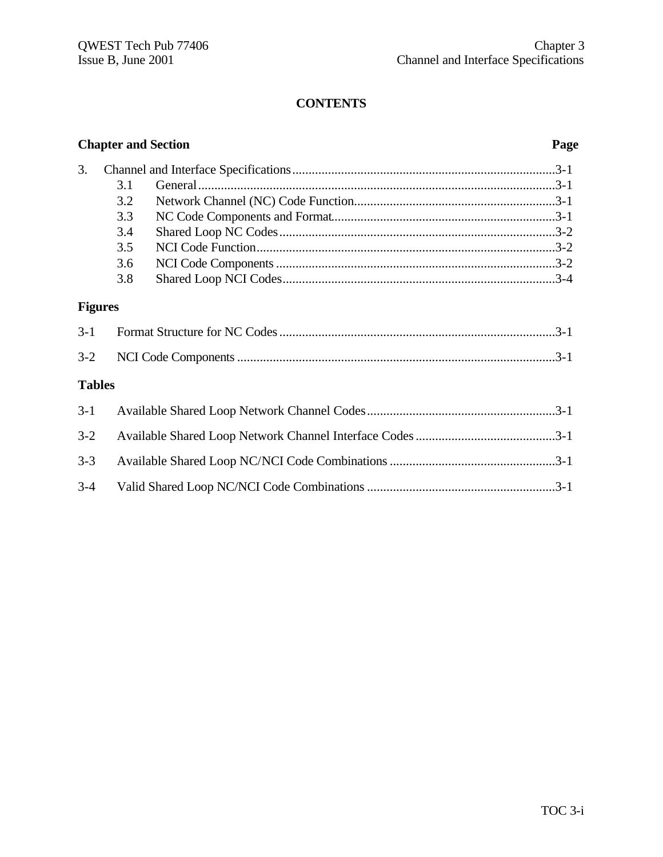|               | <b>Chapter and Section</b><br>Page |  |  |
|---------------|------------------------------------|--|--|
| 3.            |                                    |  |  |
|               | 3.1                                |  |  |
|               | 3.2                                |  |  |
|               | 3.3                                |  |  |
|               | 3.4                                |  |  |
|               | 3.5                                |  |  |
|               | 3.6                                |  |  |
|               | 3.8                                |  |  |
|               | <b>Figures</b>                     |  |  |
| $3-1$         |                                    |  |  |
| $3 - 2$       |                                    |  |  |
| <b>Tables</b> |                                    |  |  |
| $3 - 1$       |                                    |  |  |
| $3-2$         |                                    |  |  |
| $3 - 3$       |                                    |  |  |
| $3 - 4$       |                                    |  |  |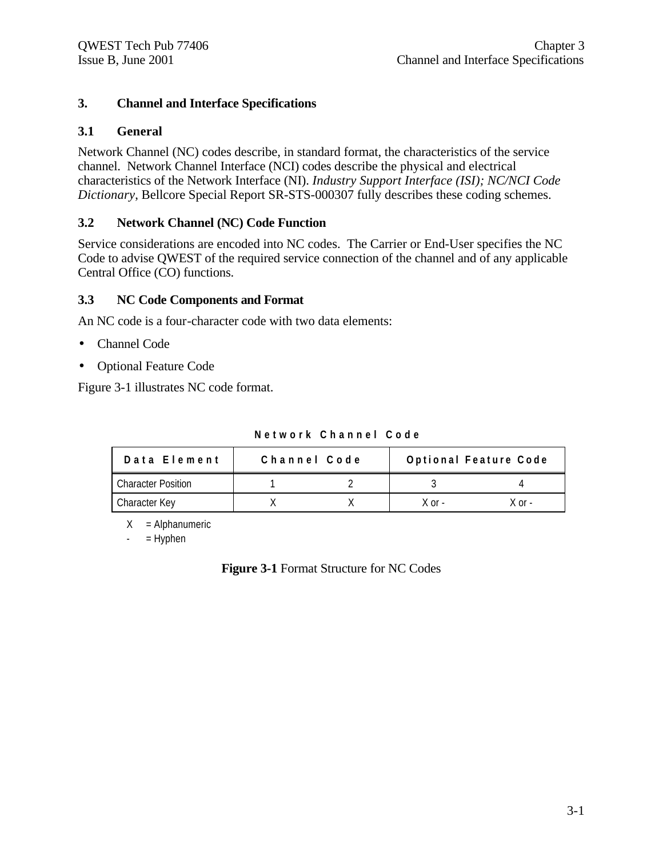#### **3. Channel and Interface Specifications**

#### **3.1 General**

Network Channel (NC) codes describe, in standard format, the characteristics of the service channel. Network Channel Interface (NCI) codes describe the physical and electrical characteristics of the Network Interface (NI). *Industry Support Interface (ISI); NC/NCI Code Dictionary*, Bellcore Special Report SR-STS-000307 fully describes these coding schemes.

#### **3.2 Network Channel (NC) Code Function**

Service considerations are encoded into NC codes. The Carrier or End-User specifies the NC Code to advise QWEST of the required service connection of the channel and of any applicable Central Office (CO) functions.

#### **3.3 NC Code Components and Format**

An NC code is a four-character code with two data elements:

- Channel Code
- Optional Feature Code

Figure 3-1 illustrates NC code format.

|  | Network Channel Code |  |
|--|----------------------|--|
|--|----------------------|--|

| Data Element              | Channel Code |        | Optional Feature Code |
|---------------------------|--------------|--------|-----------------------|
| <b>Character Position</b> |              |        |                       |
| Character Key             |              | X or - | X ∩r -                |

 $X =$  Alphanumeric

 $-$  = Hyphen

**Figure 3-1** Format Structure for NC Codes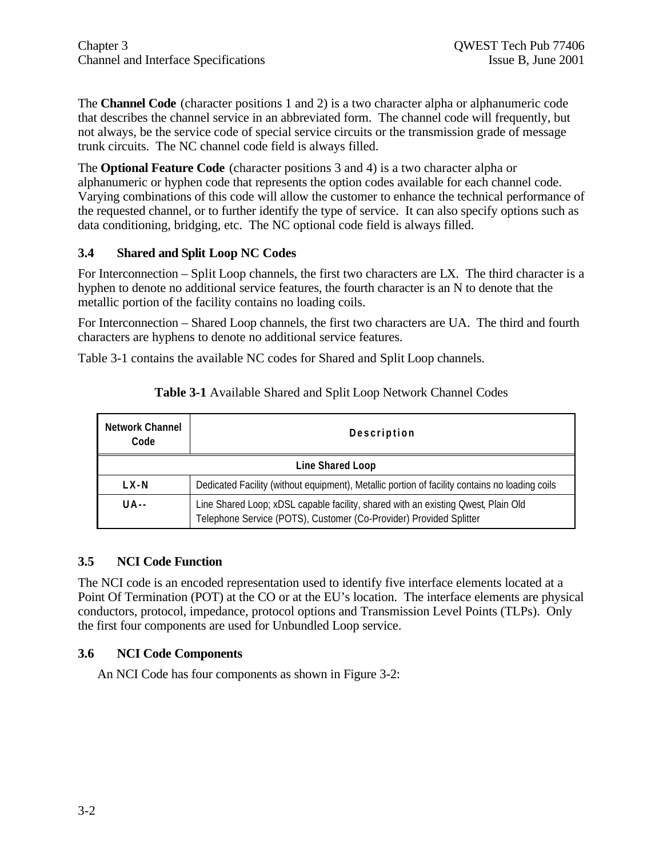The **Channel Code** (character positions 1 and 2) is a two character alpha or alphanumeric code that describes the channel service in an abbreviated form. The channel code will frequently, but not always, be the service code of special service circuits or the transmission grade of message trunk circuits. The NC channel code field is always filled.

The **Optional Feature Code** (character positions 3 and 4) is a two character alpha or alphanumeric or hyphen code that represents the option codes available for each channel code. Varying combinations of this code will allow the customer to enhance the technical performance of the requested channel, or to further identify the type of service. It can also specify options such as data conditioning, bridging, etc. The NC optional code field is always filled.

#### **3.4 Shared and Split Loop NC Codes**

For Interconnection – Split Loop channels, the first two characters are LX. The third character is a hyphen to denote no additional service features, the fourth character is an N to denote that the metallic portion of the facility contains no loading coils.

For Interconnection – Shared Loop channels, the first two characters are UA. The third and fourth characters are hyphens to denote no additional service features.

Table 3-1 contains the available NC codes for Shared and Split Loop channels.

| <b>Network Channel</b><br>Code | <b>Description</b>                                                                                                                                      |
|--------------------------------|---------------------------------------------------------------------------------------------------------------------------------------------------------|
|                                | <b>Line Shared Loop</b>                                                                                                                                 |
| LX-N                           | Dedicated Facility (without equipment), Metallic portion of facility contains no loading coils                                                          |
| $U$ A - -                      | Line Shared Loop; xDSL capable facility, shared with an existing Qwest, Plain Old<br>Telephone Service (POTS), Customer (Co-Provider) Provided Splitter |

#### **Table 3-1** Available Shared and Split Loop Network Channel Codes

#### **3.5 NCI Code Function**

The NCI code is an encoded representation used to identify five interface elements located at a Point Of Termination (POT) at the CO or at the EU's location. The interface elements are physical conductors, protocol, impedance, protocol options and Transmission Level Points (TLPs). Only the first four components are used for Unbundled Loop service.

#### **3.6 NCI Code Components**

An NCI Code has four components as shown in Figure 3-2: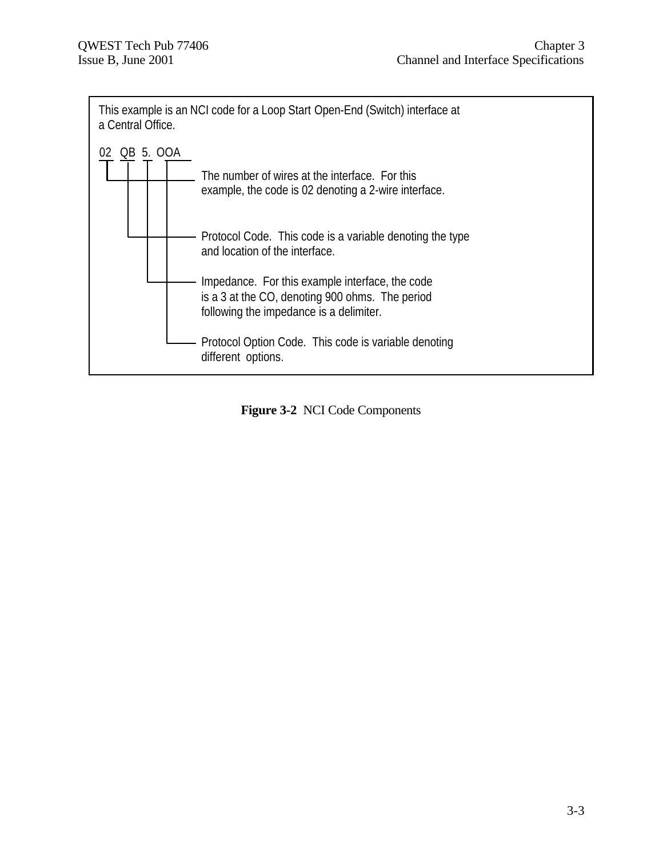

**Figure 3-2** NCI Code Components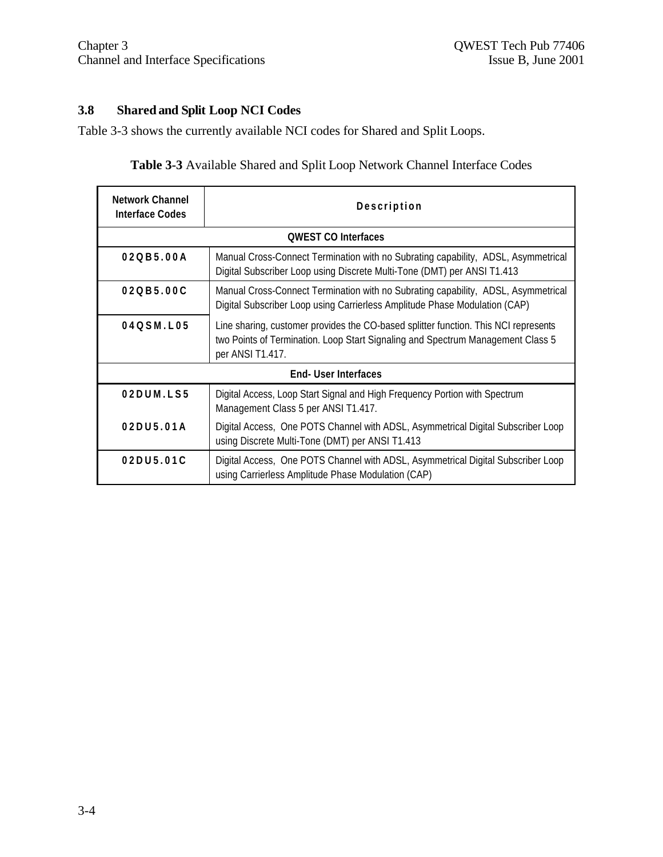# **3.8 Shared and Split Loop NCI Codes**

Table 3-3 shows the currently available NCI codes for Shared and Split Loops.

**Table 3-3** Available Shared and Split Loop Network Channel Interface Codes

| <b>Network Channel</b><br><b>Interface Codes</b> | Description                                                                                                                                                                                |  |
|--------------------------------------------------|--------------------------------------------------------------------------------------------------------------------------------------------------------------------------------------------|--|
|                                                  | <b>OWEST CO Interfaces</b>                                                                                                                                                                 |  |
| 020B5.00A                                        | Manual Cross-Connect Termination with no Subrating capability, ADSL, Asymmetrical<br>Digital Subscriber Loop using Discrete Multi-Tone (DMT) per ANSI T1.413                               |  |
| 020B5.00C                                        | Manual Cross-Connect Termination with no Subrating capability, ADSL, Asymmetrical<br>Digital Subscriber Loop using Carrierless Amplitude Phase Modulation (CAP)                            |  |
| 04QSM.L05                                        | Line sharing, customer provides the CO-based splitter function. This NCI represents<br>two Points of Termination. Loop Start Signaling and Spectrum Management Class 5<br>per ANSI T1.417. |  |
| End-User Interfaces                              |                                                                                                                                                                                            |  |
| 02DUM.LS5                                        | Digital Access, Loop Start Signal and High Frequency Portion with Spectrum<br>Management Class 5 per ANSI T1.417.                                                                          |  |
| 02DU5.01A                                        | Digital Access, One POTS Channel with ADSL, Asymmetrical Digital Subscriber Loop<br>using Discrete Multi-Tone (DMT) per ANSI T1.413                                                        |  |
| 02DU5.01C                                        | Digital Access, One POTS Channel with ADSL, Asymmetrical Digital Subscriber Loop<br>using Carrierless Amplitude Phase Modulation (CAP)                                                     |  |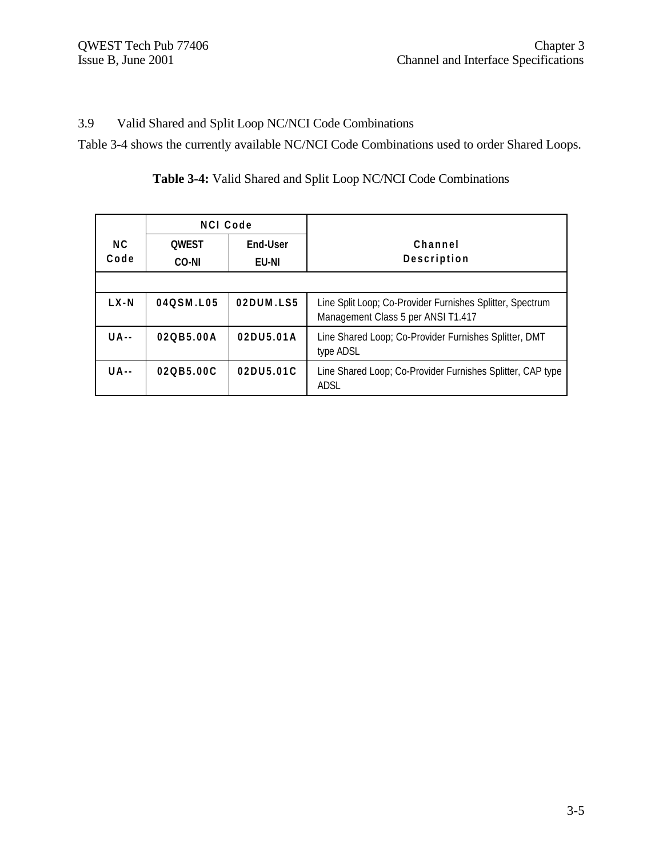# 3.9 Valid Shared and Split Loop NC/NCI Code Combinations

Table 3-4 shows the currently available NC/NCI Code Combinations used to order Shared Loops.

|             | <b>NCI Code</b>       |                          |                                                                                                 |
|-------------|-----------------------|--------------------------|-------------------------------------------------------------------------------------------------|
| NC.<br>Code | <b>OWEST</b><br>CO-NI | End-User<br><b>EU-NI</b> | Channel<br>Description                                                                          |
|             |                       |                          |                                                                                                 |
| $L X - N$   | 040SM.L05             | 02DUM.LS5                | Line Split Loop; Co-Provider Furnishes Splitter, Spectrum<br>Management Class 5 per ANSI T1.417 |
| $U$ A - -   | 020B5.00A             | 02DU5.01A                | Line Shared Loop; Co-Provider Furnishes Splitter, DMT<br>type ADSL                              |
| UA--        | 020B5.00C             | 02DU5.01C                | Line Shared Loop; Co-Provider Furnishes Splitter, CAP type<br><b>ADSL</b>                       |

# **Table 3-4:** Valid Shared and Split Loop NC/NCI Code Combinations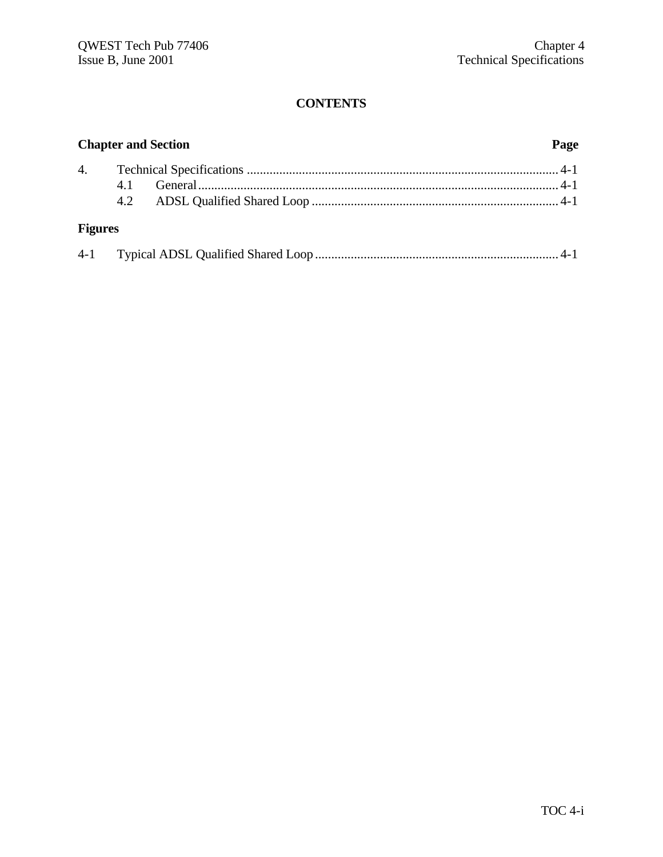|                | Page<br><b>Chapter and Section</b> |  |  |
|----------------|------------------------------------|--|--|
|                |                                    |  |  |
|                |                                    |  |  |
| <b>Figures</b> |                                    |  |  |
|                |                                    |  |  |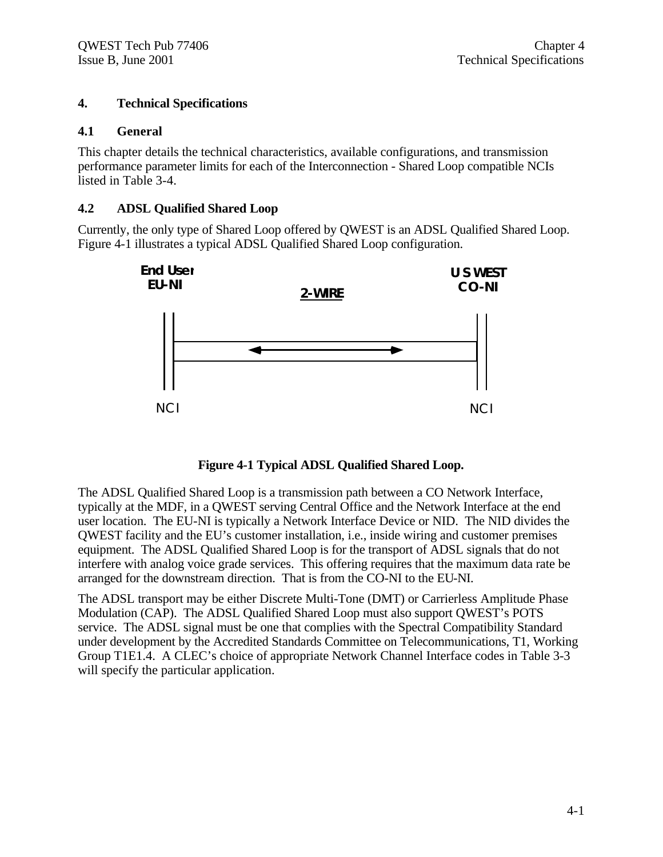#### **4. Technical Specifications**

#### **4.1 General**

This chapter details the technical characteristics, available configurations, and transmission performance parameter limits for each of the Interconnection - Shared Loop compatible NCIs listed in Table 3-4.

#### **4.2 ADSL Qualified Shared Loop**

Currently, the only type of Shared Loop offered by QWEST is an ADSL Qualified Shared Loop. Figure 4-1 illustrates a typical ADSL Qualified Shared Loop configuration.



**Figure 4-1 Typical ADSL Qualified Shared Loop.**

The ADSL Qualified Shared Loop is a transmission path between a CO Network Interface, typically at the MDF, in a QWEST serving Central Office and the Network Interface at the end user location. The EU-NI is typically a Network Interface Device or NID. The NID divides the QWEST facility and the EU's customer installation, i.e., inside wiring and customer premises equipment. The ADSL Qualified Shared Loop is for the transport of ADSL signals that do not interfere with analog voice grade services. This offering requires that the maximum data rate be arranged for the downstream direction. That is from the CO-NI to the EU-NI.

The ADSL transport may be either Discrete Multi-Tone (DMT) or Carrierless Amplitude Phase Modulation (CAP). The ADSL Qualified Shared Loop must also support QWEST's POTS service. The ADSL signal must be one that complies with the Spectral Compatibility Standard under development by the Accredited Standards Committee on Telecommunications, T1, Working Group T1E1.4. A CLEC's choice of appropriate Network Channel Interface codes in Table 3-3 will specify the particular application.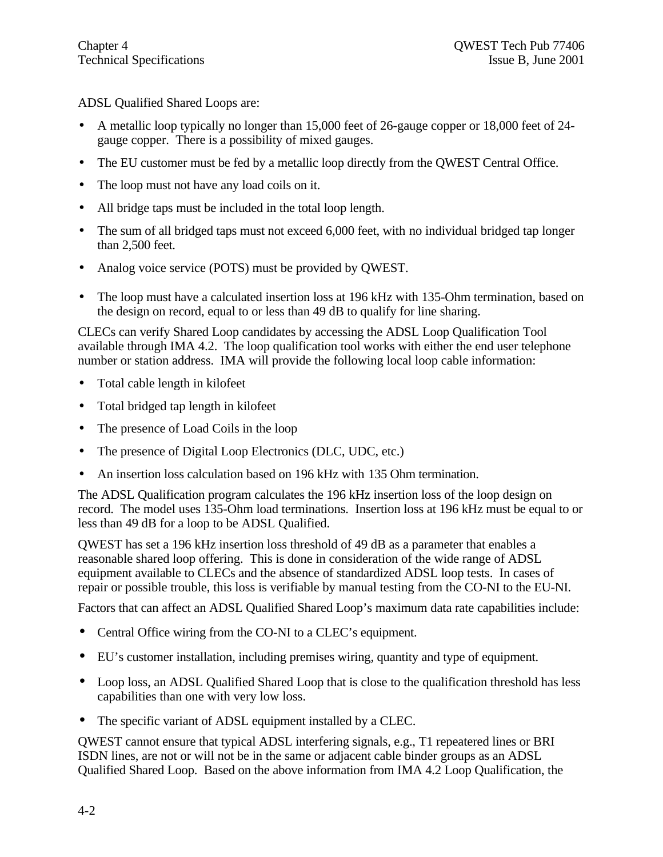ADSL Qualified Shared Loops are:

- A metallic loop typically no longer than 15,000 feet of 26-gauge copper or 18,000 feet of 24 gauge copper. There is a possibility of mixed gauges.
- The EU customer must be fed by a metallic loop directly from the QWEST Central Office.
- The loop must not have any load coils on it.
- All bridge taps must be included in the total loop length.
- The sum of all bridged taps must not exceed 6,000 feet, with no individual bridged tap longer than 2,500 feet.
- Analog voice service (POTS) must be provided by QWEST.
- The loop must have a calculated insertion loss at 196 kHz with 135-Ohm termination, based on the design on record, equal to or less than 49 dB to qualify for line sharing.

CLECs can verify Shared Loop candidates by accessing the ADSL Loop Qualification Tool available through IMA 4.2. The loop qualification tool works with either the end user telephone number or station address. IMA will provide the following local loop cable information:

- Total cable length in kilofeet
- Total bridged tap length in kilofeet
- The presence of Load Coils in the loop
- The presence of Digital Loop Electronics (DLC, UDC, etc.)
- An insertion loss calculation based on 196 kHz with 135 Ohm termination.

The ADSL Qualification program calculates the 196 kHz insertion loss of the loop design on record. The model uses 135-Ohm load terminations. Insertion loss at 196 kHz must be equal to or less than 49 dB for a loop to be ADSL Qualified.

QWEST has set a 196 kHz insertion loss threshold of 49 dB as a parameter that enables a reasonable shared loop offering. This is done in consideration of the wide range of ADSL equipment available to CLECs and the absence of standardized ADSL loop tests. In cases of repair or possible trouble, this loss is verifiable by manual testing from the CO-NI to the EU-NI.

Factors that can affect an ADSL Qualified Shared Loop's maximum data rate capabilities include:

- Central Office wiring from the CO-NI to a CLEC's equipment.
- EU's customer installation, including premises wiring, quantity and type of equipment.
- Loop loss, an ADSL Qualified Shared Loop that is close to the qualification threshold has less capabilities than one with very low loss.
- The specific variant of ADSL equipment installed by a CLEC.

QWEST cannot ensure that typical ADSL interfering signals, e.g., T1 repeatered lines or BRI ISDN lines, are not or will not be in the same or adjacent cable binder groups as an ADSL Qualified Shared Loop. Based on the above information from IMA 4.2 Loop Qualification, the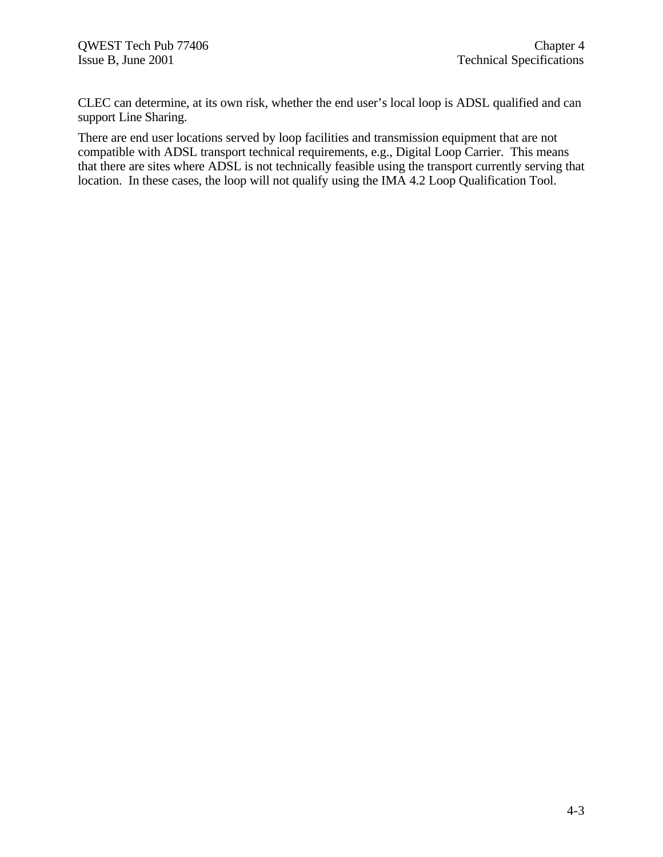CLEC can determine, at its own risk, whether the end user's local loop is ADSL qualified and can support Line Sharing.

There are end user locations served by loop facilities and transmission equipment that are not compatible with ADSL transport technical requirements, e.g., Digital Loop Carrier. This means that there are sites where ADSL is not technically feasible using the transport currently serving that location. In these cases, the loop will not qualify using the IMA 4.2 Loop Qualification Tool.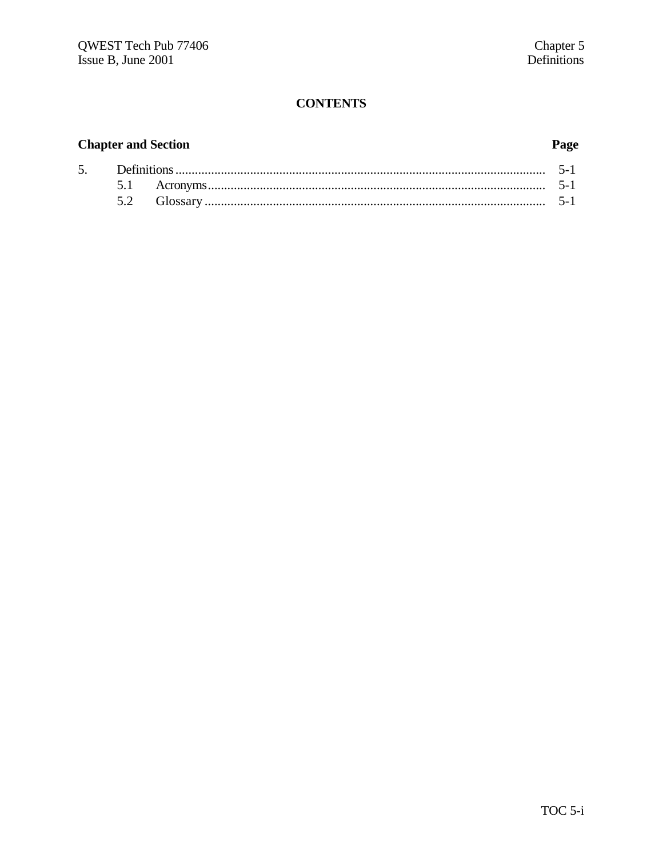# **Chapter and Section**

# Page

| 5. |  |  |  |
|----|--|--|--|
|    |  |  |  |
|    |  |  |  |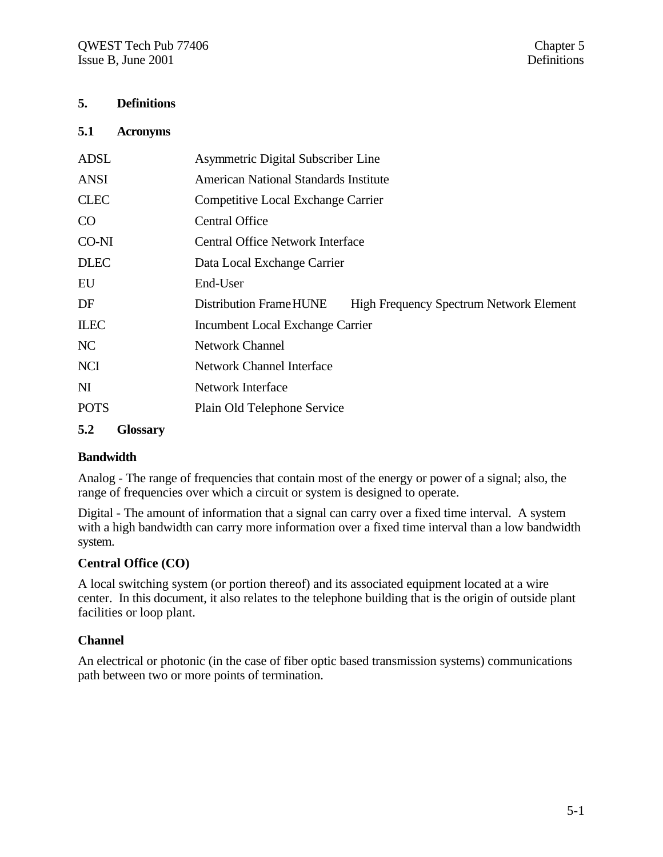### **5. Definitions**

#### **5.1 Acronyms**

| <b>ADSL</b>            | Asymmetric Digital Subscriber Line                                        |
|------------------------|---------------------------------------------------------------------------|
| <b>ANSI</b>            | <b>American National Standards Institute</b>                              |
| <b>CLEC</b>            | Competitive Local Exchange Carrier                                        |
| CO                     | <b>Central Office</b>                                                     |
| CO-NI                  | <b>Central Office Network Interface</b>                                   |
| <b>DLEC</b>            | Data Local Exchange Carrier                                               |
| EU                     | End-User                                                                  |
| DF                     | Distribution Frame HUNE<br><b>High Frequency Spectrum Network Element</b> |
| <b>ILEC</b>            | Incumbent Local Exchange Carrier                                          |
| NC                     | <b>Network Channel</b>                                                    |
| <b>NCI</b>             | <b>Network Channel Interface</b>                                          |
| $\mathbf{M}$           | Network Interface                                                         |
| <b>POTS</b>            | Plain Old Telephone Service                                               |
| 5.2<br><b>Glossary</b> |                                                                           |

#### **Bandwidth**

Analog - The range of frequencies that contain most of the energy or power of a signal; also, the range of frequencies over which a circuit or system is designed to operate.

Digital - The amount of information that a signal can carry over a fixed time interval. A system with a high bandwidth can carry more information over a fixed time interval than a low bandwidth system.

#### **Central Office (CO)**

A local switching system (or portion thereof) and its associated equipment located at a wire center. In this document, it also relates to the telephone building that is the origin of outside plant facilities or loop plant.

#### **Channel**

An electrical or photonic (in the case of fiber optic based transmission systems) communications path between two or more points of termination.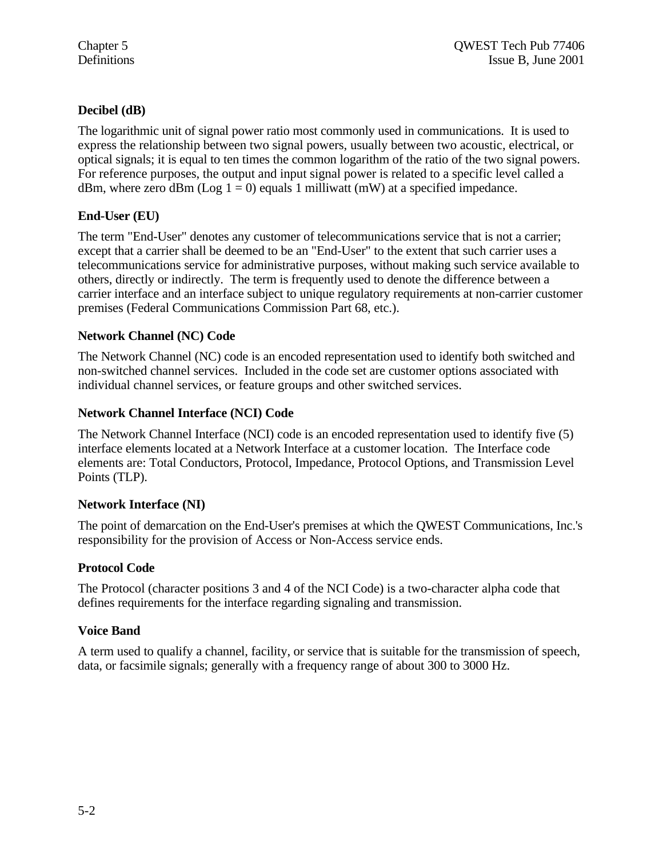#### **Decibel (dB)**

The logarithmic unit of signal power ratio most commonly used in communications. It is used to express the relationship between two signal powers, usually between two acoustic, electrical, or optical signals; it is equal to ten times the common logarithm of the ratio of the two signal powers. For reference purposes, the output and input signal power is related to a specific level called a dBm, where zero dBm (Log  $1 = 0$ ) equals 1 milliwatt (mW) at a specified impedance.

### **End-User (EU)**

The term "End-User" denotes any customer of telecommunications service that is not a carrier; except that a carrier shall be deemed to be an "End-User" to the extent that such carrier uses a telecommunications service for administrative purposes, without making such service available to others, directly or indirectly. The term is frequently used to denote the difference between a carrier interface and an interface subject to unique regulatory requirements at non-carrier customer premises (Federal Communications Commission Part 68, etc.).

### **Network Channel (NC) Code**

The Network Channel (NC) code is an encoded representation used to identify both switched and non-switched channel services. Included in the code set are customer options associated with individual channel services, or feature groups and other switched services.

#### **Network Channel Interface (NCI) Code**

The Network Channel Interface (NCI) code is an encoded representation used to identify five (5) interface elements located at a Network Interface at a customer location. The Interface code elements are: Total Conductors, Protocol, Impedance, Protocol Options, and Transmission Level Points (TLP).

#### **Network Interface (NI)**

The point of demarcation on the End-User's premises at which the QWEST Communications, Inc.'s responsibility for the provision of Access or Non-Access service ends.

#### **Protocol Code**

The Protocol (character positions 3 and 4 of the NCI Code) is a two-character alpha code that defines requirements for the interface regarding signaling and transmission.

#### **Voice Band**

A term used to qualify a channel, facility, or service that is suitable for the transmission of speech, data, or facsimile signals; generally with a frequency range of about 300 to 3000 Hz.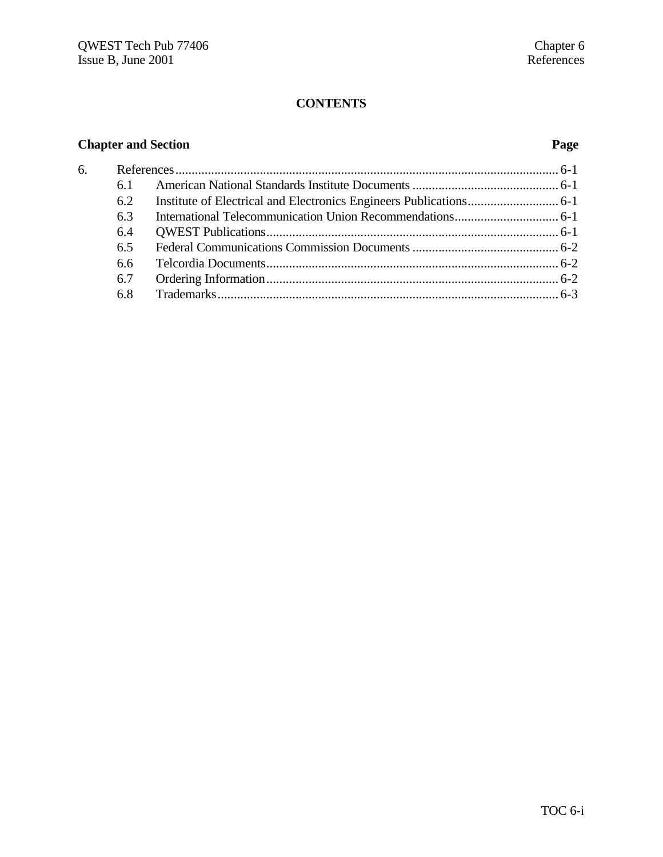# **Chapter and Section Page**

| 6. |     |  |
|----|-----|--|
|    | 6.1 |  |
|    | 6.2 |  |
|    | 6.3 |  |
|    | 6.4 |  |
|    | 6.5 |  |
|    | 6.6 |  |
|    | 6.7 |  |
|    | 6.8 |  |
|    |     |  |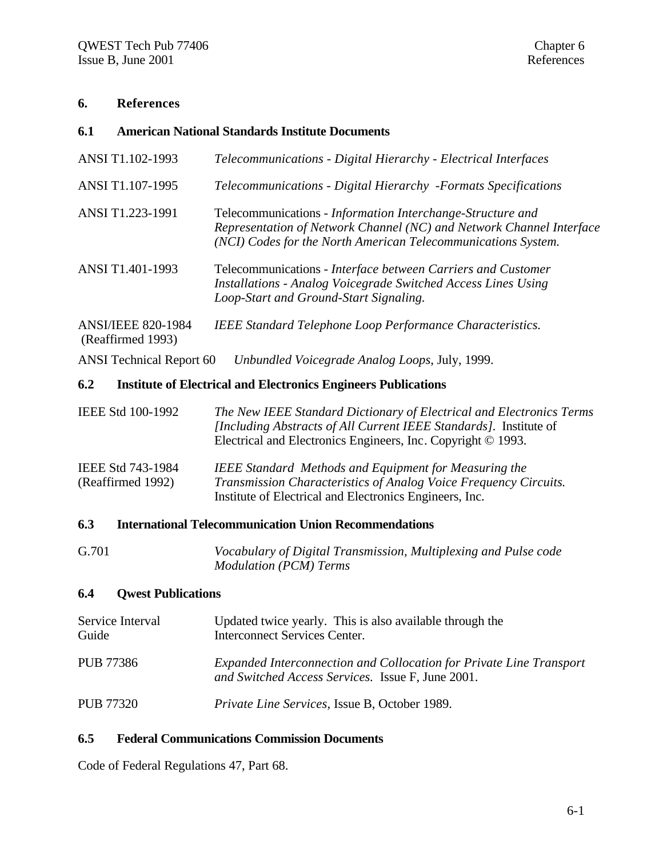### **6. References**

| 6.1                                            | <b>American National Standards Institute Documents</b>                                                                                                                                                    |
|------------------------------------------------|-----------------------------------------------------------------------------------------------------------------------------------------------------------------------------------------------------------|
| ANSI T1.102-1993                               | Telecommunications - Digital Hierarchy - Electrical Interfaces                                                                                                                                            |
| ANSI T1.107-1995                               | Telecommunications - Digital Hierarchy -Formats Specifications                                                                                                                                            |
| ANSI T1.223-1991                               | Telecommunications - Information Interchange-Structure and<br>Representation of Network Channel (NC) and Network Channel Interface<br>(NCI) Codes for the North American Telecommunications System.       |
| ANSI T1.401-1993                               | Telecommunications - Interface between Carriers and Customer<br><b>Installations - Analog Voicegrade Switched Access Lines Using</b><br>Loop-Start and Ground-Start Signaling.                            |
| <b>ANSI/IEEE 820-1984</b><br>(Reaffirmed 1993) | <b>IEEE Standard Telephone Loop Performance Characteristics.</b>                                                                                                                                          |
| <b>ANSI Technical Report 60</b>                | Unbundled Voicegrade Analog Loops, July, 1999.                                                                                                                                                            |
| 6.2                                            | <b>Institute of Electrical and Electronics Engineers Publications</b>                                                                                                                                     |
| IEEE Std 100-1992                              | The New IEEE Standard Dictionary of Electrical and Electronics Terms<br>[Including Abstracts of All Current IEEE Standards]. Institute of<br>Electrical and Electronics Engineers, Inc. Copyright © 1993. |
| IEEE Std 743-1984<br>(Reaffirmed 1992)         | <b>IEEE Standard Methods and Equipment for Measuring the</b><br>Transmission Characteristics of Analog Voice Frequency Circuits.<br>Institute of Electrical and Electronics Engineers, Inc.               |
| 6.3                                            | <b>International Telecommunication Union Recommendations</b>                                                                                                                                              |

#### G.701 *Vocabulary of Digital Transmission, Multiplexing and Pulse code Modulation (PCM) Terms*

# **6.4 Qwest Publications**

| Service Interval<br>Guide | Updated twice yearly. This is also available through the<br><b>Interconnect Services Center.</b>                         |
|---------------------------|--------------------------------------------------------------------------------------------------------------------------|
| <b>PUB 77386</b>          | Expanded Interconnection and Collocation for Private Line Transport<br>and Switched Access Services. Issue F, June 2001. |
| <b>PUB 77320</b>          | <i>Private Line Services, Issue B, October 1989.</i>                                                                     |

#### **6.5 Federal Communications Commission Documents**

Code of Federal Regulations 47, Part 68.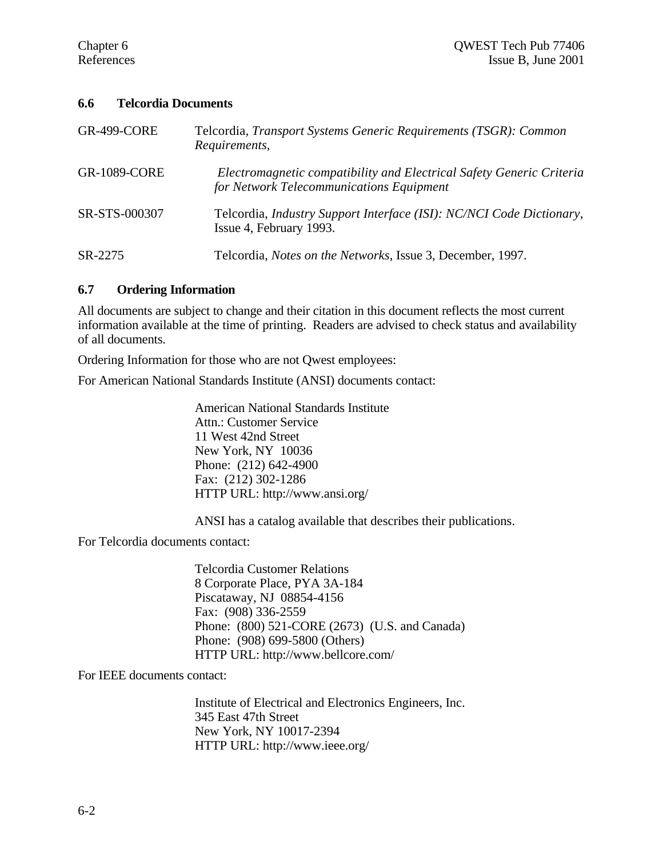#### **6.6 Telcordia Documents**

| <b>GR-499-CORE</b>  | Telcordia, Transport Systems Generic Requirements (TSGR): Common<br>Requirements,                                |
|---------------------|------------------------------------------------------------------------------------------------------------------|
| <b>GR-1089-CORE</b> | Electromagnetic compatibility and Electrical Safety Generic Criteria<br>for Network Telecommunications Equipment |
| SR-STS-000307       | Telcordia, Industry Support Interface (ISI): NC/NCI Code Dictionary,<br>Issue 4, February 1993.                  |
| SR-2275             | Telcordia, Notes on the Networks, Issue 3, December, 1997.                                                       |

#### **6.7 Ordering Information**

All documents are subject to change and their citation in this document reflects the most current information available at the time of printing. Readers are advised to check status and availability of all documents.

Ordering Information for those who are not Qwest employees:

For American National Standards Institute (ANSI) documents contact:

American National Standards Institute Attn.: Customer Service 11 West 42nd Street New York, NY 10036 Phone: (212) 642-4900 Fax: (212) 302-1286 HTTP URL: http://www.ansi.org/

ANSI has a catalog available that describes their publications.

For Telcordia documents contact:

Telcordia Customer Relations 8 Corporate Place, PYA 3A-184 Piscataway, NJ 08854-4156 Fax: (908) 336-2559 Phone: (800) 521-CORE (2673) (U.S. and Canada) Phone: (908) 699-5800 (Others) HTTP URL: http://www.bellcore.com/

For IEEE documents contact:

Institute of Electrical and Electronics Engineers, Inc. 345 East 47th Street New York, NY 10017-2394 HTTP URL: http://www.ieee.org/